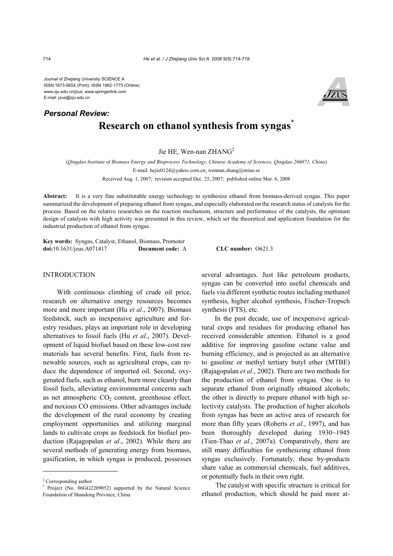Journal of Zhejiang University SCIENCE A ISSN 1673-565X (Print); ISSN 1862-1775 (Online) www.zju.edu.cn/jzus; www.springerlink.com E-mail: jzus@zju.edu.cn

# **Research on ethanol synthesis from syngas\*** *Personal Review:*

Jie HE, Wen-nan ZHANG‡

(*Qingdao Institute of Biomass Energy and Bioprocess Technology, Chinese Academy of Sciences, Qingdao 266071, China*) E-mail: hejie0124@yahoo.com.cn; wennan.zhang@miun.se Received Aug. 1, 2007; revision accepted Dec. 25, 2007; published online Mar. 6, 2008

**Abstract:** It is a very fine substitutable energy technology to synthesize ethanol from biomass-derived syngas. This paper summarized the development of preparing ethanol from syngas, and especially elaborated on the research status of catalysts for the process. Based on the relative researches on the reaction mechanism, structure and performance of the catalysts, the optimum design of catalysts with high activity was presented in this review, which set the theoretical and application foundation for the industrial production of ethanol from syngas.

**Key words:** Syngas, Catalyst, Ethanol, Biomass, Promoter **doi:**10.1631/jzus.A071417 **Document code:** A **CLC number:** O621.3

### **INTRODUCTION**

With continuous climbing of crude oil price, research on alternative energy resources becomes more and more important (Hu *et al*., 2007). Biomass feedstock, such as inexpensive agriculture and forestry residues, plays an important role in developing alternatives to fossil fuels (Hu *et al*., 2007). Development of liquid biofuel based on these low-cost raw materials has several benefits. First, fuels from renewable sources, such as agricultural crops, can reduce the dependence of imported oil. Second, oxygenated fuels, such as ethanol, burn more cleanly than fossil fuels, alleviating environmental concerns such as net atmospheric  $CO<sub>2</sub>$  content, greenhouse effect, and noxious CO emissions. Other advantages include the development of the rural economy by creating employment opportunities and utilizing marginal lands to cultivate crops as feedstock for biofuel production (Rajagopalan *et al*., 2002). While there are several methods of generating energy from biomass, gasification, in which syngas is produced, possesses

several advantages. Just like petroleum products, syngas can be converted into useful chemicals and fuels via different synthetic routes including methanol synthesis, higher alcohol synthesis, Fischer-Tropsch synthesis (FTS), etc.

In the past decade, use of inexpensive agricultural crops and residues for producing ethanol has received considerable attention. Ethanol is a good additive for improving gasoline octane value and burning efficiency, and is projected as an alternative to gasoline or methyl tertiary butyl ether (MTBE) (Rajagopalan *et al*., 2002). There are two methods for the production of ethanol from syngas. One is to separate ethanol from originally obtained alcohols; the other is directly to prepare ethanol with high selectivity catalysts. The production of higher alcohols from syngas has been an active area of research for more than fifty years (Roberts *et al*., 1997), and has been thoroughly developed during 1930~1945 (Tien-Thao *et al*., 2007a). Comparatively, there are still many difficulties for synthesizing ethanol from syngas exclusively. Fortunately, these by-products share value as commercial chemicals, fuel additives, or potentially fuels in their own right.

The catalyst with specific structure is critical for ethanol production, which should be paid more at-



<sup>‡</sup> Corresponding author

<sup>\*</sup> Project (No. 06GG2209052) supported by the Natural Science Foundation of Shandong Province, China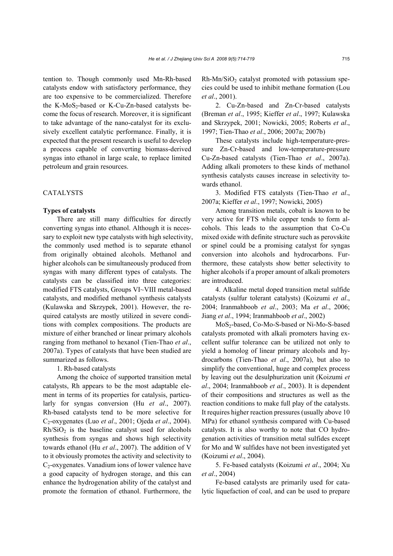tention to. Though commonly used Mn-Rh-based catalysts endow with satisfactory performance, they are too expensive to be commercialized. Therefore the K-MoS<sub>2</sub>-based or K-Cu-Zn-based catalysts become the focus of research. Moreover, it is significant to take advantage of the nano-catalyst for its exclusively excellent catalytic performance. Finally, it is expected that the present research is useful to develop a process capable of converting biomass-derived syngas into ethanol in large scale, to replace limited petroleum and grain resources.

## CATALYSTS

#### **Types of catalysts**

There are still many difficulties for directly converting syngas into ethanol. Although it is necessary to exploit new type catalysts with high selectivity, the commonly used method is to separate ethanol from originally obtained alcohols. Methanol and higher alcohols can be simultaneously produced from syngas with many different types of catalysts. The catalysts can be classified into three categories: modified FTS catalysts, Groups VI~VIII metal-based catalysts, and modified methanol synthesis catalysts (Kulawska and Skrzypek, 2001). However, the required catalysts are mostly utilized in severe conditions with complex compositions. The products are mixture of either branched or linear primary alcohols ranging from methanol to hexanol (Tien-Thao *et al*., 2007a). Types of catalysts that have been studied are summarized as follows.

1. Rh-based catalysts

Among the choice of supported transition metal catalysts, Rh appears to be the most adaptable element in terms of its properties for catalysis, particularly for syngas conversion (Hu *et al*., 2007). Rh-based catalysts tend to be more selective for C2-oxygenates (Luo *et al*., 2001; Ojeda *et al*., 2004).  $Rh/SiO<sub>2</sub>$  is the baseline catalyst used for alcohols synthesis from syngas and shows high selectivity towards ethanol (Hu *et al*., 2007). The addition of V to it obviously promotes the activity and selectivity to  $C<sub>2</sub>$ -oxygenates. Vanadium ions of lower valence have a good capacity of hydrogen storage, and this can enhance the hydrogenation ability of the catalyst and promote the formation of ethanol. Furthermore, the  $Rh-Mn/SiO<sub>2</sub>$  catalyst promoted with potassium species could be used to inhibit methane formation (Lou *et al*., 2001).

2. Cu-Zn-based and Zn-Cr-based catalysts (Breman *et al*., 1995; Kieffer *et al*., 1997; Kulawska and Skrzypek, 2001; Nowicki, 2005; Roberts *et al*., 1997; Tien-Thao *et al*., 2006; 2007a; 2007b)

These catalysts include high-temperature-pressure Zn-Cr-based and low-temperature-pressure Cu-Zn-based catalysts (Tien-Thao *et al*., 2007a). Adding alkali promoters to these kinds of methanol synthesis catalysts causes increase in selectivity towards ethanol.

3. Modified FTS catalysts (Tien-Thao *et al*., 2007a; Kieffer *et al*., 1997; Nowicki, 2005)

Among transition metals, cobalt is known to be very active for FTS while copper tends to form alcohols. This leads to the assumption that Co-Cu mixed oxide with definite structure such as perovskite or spinel could be a promising catalyst for syngas conversion into alcohols and hydrocarbons. Furthermore, these catalysts show better selectivity to higher alcohols if a proper amount of alkali promoters are introduced.

4. Alkaline metal doped transition metal sulfide catalysts (sulfur tolerant catalysts) (Koizumi *et al*., 2004; Iranmahboob *et al*., 2003; Ma *et al*., 2006; Jiang *et al*., 1994; Iranmahboob *et al*., 2002)

MoS2-based, Co-Mo-S-based or Ni-Mo-S-based catalysts promoted with alkali promoters having excellent sulfur tolerance can be utilized not only to yield a homolog of linear primary alcohols and hydrocarbons (Tien-Thao *et al*., 2007a), but also to simplify the conventional, huge and complex process by leaving out the desulphurization unit (Koizumi *et al*., 2004; Iranmahboob *et al*., 2003). It is dependent of their compositions and structures as well as the reaction conditions to make full play of the catalysts. It requires higher reaction pressures (usually above 10 MPa) for ethanol synthesis compared with Cu-based catalysts. It is also worthy to note that CO hydrogenation activities of transition metal sulfides except for Mo and W sulfides have not been investigated yet (Koizumi *et al*., 2004).

5. Fe-based catalysts (Koizumi *et al*., 2004; Xu *et al*., 2004)

Fe-based catalysts are primarily used for catalytic liquefaction of coal, and can be used to prepare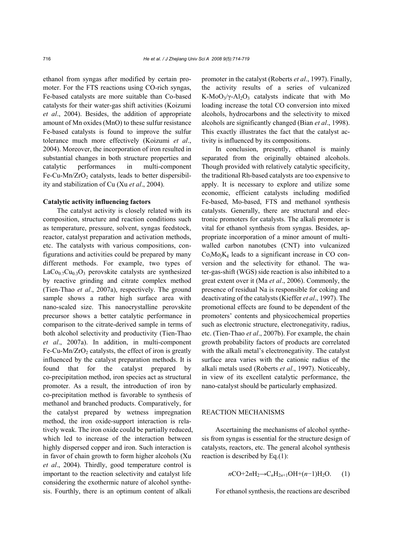ethanol from syngas after modified by certain promoter. For the FTS reactions using CO-rich syngas, Fe-based catalysts are more suitable than Co-based catalysts for their water-gas shift activities (Koizumi *et al*., 2004). Besides, the addition of appropriate amount of Mn oxides (MnO) to these sulfur resistance Fe-based catalysts is found to improve the sulfur tolerance much more effectively (Koizumi *et al*., 2004). Moreover, the incorporation of iron resulted in substantial changes in both structure properties and catalytic performances in multi-component Fe-Cu-Mn/ $ZrO<sub>2</sub>$  catalysts, leads to better dispersibility and stabilization of Cu (Xu *et al*., 2004).

#### **Catalytic activity influencing factors**

The catalyst activity is closely related with its composition, structure and reaction conditions such as temperature, pressure, solvent, syngas feedstock, reactor, catalyst preparation and activation methods, etc. The catalysts with various compositions, configurations and activities could be prepared by many different methods. For example, two types of  $LaCo<sub>0.7</sub>Cu<sub>0.3</sub>O<sub>3</sub>$  perovskite catalysts are synthesized by reactive grinding and citrate complex method (Tien-Thao *et al*., 2007a), respectively. The ground sample shows a rather high surface area with nano-scaled size. This nanocrystalline perovskite precursor shows a better catalytic performance in comparison to the citrate-derived sample in terms of both alcohol selectivity and productivity (Tien-Thao *et al*., 2007a). In addition, in multi-component Fe-Cu-Mn/ $ZrO<sub>2</sub>$  catalysts, the effect of iron is greatly influenced by the catalyst preparation methods. It is found that for the catalyst prepared by co-precipitation method, iron species act as structural promoter. As a result, the introduction of iron by co-precipitation method is favorable to synthesis of methanol and branched products. Comparatively, for the catalyst prepared by wetness impregnation method, the iron oxide-support interaction is relatively weak. The iron oxide could be partially reduced, which led to increase of the interaction between highly dispersed copper and iron. Such interaction is in favor of chain growth to form higher alcohols (Xu *et al*., 2004). Thirdly, good temperature control is important to the reaction selectivity and catalyst life considering the exothermic nature of alcohol synthesis. Fourthly, there is an optimum content of alkali

promoter in the catalyst (Roberts *et al*., 1997). Finally, the activity results of a series of vulcanized K-MoO<sub>3</sub>/ $\gamma$ -Al<sub>2</sub>O<sub>3</sub> catalysts indicate that with Mo loading increase the total CO conversion into mixed alcohols, hydrocarbons and the selectivity to mixed alcohols are significantly changed (Bian *et al*., 1998). This exactly illustrates the fact that the catalyst activity is influenced by its compositions.

In conclusion, presently, ethanol is mainly separated from the originally obtained alcohols. Though provided with relatively catalytic specificity, the traditional Rh-based catalysts are too expensive to apply. It is necessary to explore and utilize some economic, efficient catalysts including modified Fe-based, Mo-based, FTS and methanol synthesis catalysts. Generally, there are structural and electronic promoters for catalysts. The alkali promoter is vital for ethanol synthesis from syngas. Besides, appropriate incorporation of a minor amount of multiwalled carbon nanotubes (CNT) into vulcanized  $Co<sub>i</sub>Mo<sub>j</sub>K<sub>k</sub>$  leads to a significant increase in CO conversion and the selectivity for ethanol. The water-gas-shift (WGS) side reaction is also inhibited to a great extent over it (Ma *et al*., 2006). Commonly, the presence of residual Na is responsible for coking and deactivating of the catalysts (Kieffer *et al*., 1997). The promotional effects are found to be dependent of the promoters' contents and physicochemical properties such as electronic structure, electronegativity, radius, etc. (Tien-Thao *et al*., 2007b). For example, the chain growth probability factors of products are correlated with the alkali metal's electronegativity. The catalyst surface area varies with the cationic radius of the alkali metals used (Roberts *et al*., 1997). Noticeably, in view of its excellent catalytic performance, the nano-catalyst should be particularly emphasized.

## REACTION MECHANISMS

Ascertaining the mechanisms of alcohol synthesis from syngas is essential for the structure design of catalysts, reactors, etc. The general alcohol synthesis reaction is described by Eq.(1):

$$
n\text{CO}+2n\text{H}_2\rightarrow\text{C}_n\text{H}_{2n+1}\text{OH}+(n-1)\text{H}_2\text{O}.
$$
 (1)

For ethanol synthesis, the reactions are described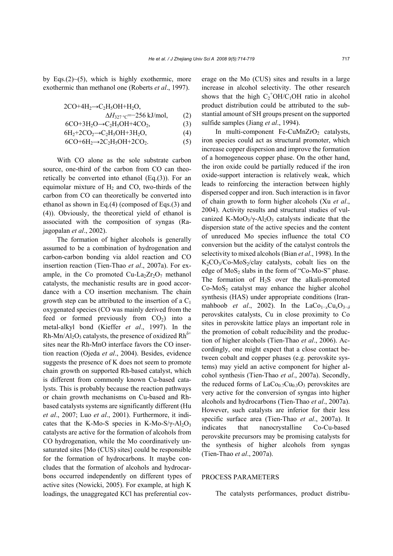by Eqs. $(2)$   $\sim$  (5), which is highly exothermic, more exothermic than methanol one (Roberts *et al*., 1997).

$$
2CO+4H_2 \rightarrow C_2H_5OH+H_2O,\Delta H_{327 \,^{\circ}C} = -256 \, kJ/mol, \qquad (2)\n6CO+3H_2O \rightarrow C_2H_5OH+4CO_2, \qquad (3)\n6H_2+2CO_2 \rightarrow C_2H_5OH+3H_2O, \qquad (4)
$$

 $6CO+6H_2 \rightarrow 2C_2H_5OH+2CO_2.$  (5)

With CO alone as the sole substrate carbon source, one-third of the carbon from CO can theoretically be converted into ethanol (Eq.(3)). For an equimolar mixture of  $H<sub>2</sub>$  and CO, two-thirds of the carbon from CO can theoretically be converted into ethanol as shown in Eq.(4) (composed of Eqs.(3) and (4)). Obviously, the theoretical yield of ethanol is associated with the composition of syngas (Rajagopalan *et al*., 2002).

The formation of higher alcohols is generally assumed to be a combination of hydrogenation and carbon-carbon bonding via aldol reaction and CO insertion reaction (Tien-Thao *et al*., 2007a). For example, in the Co promoted  $Cu-La<sub>2</sub>Zr<sub>2</sub>O<sub>7</sub>$  methanol catalysts, the mechanistic results are in good accordance with a CO insertion mechanism. The chain growth step can be attributed to the insertion of a  $C_1$ oxygenated species (CO was mainly derived from the feed or formed previously from  $CO<sub>2</sub>$ ) into a metal-alkyl bond (Kieffer *et al*., 1997). In the Rh-Mn/Al<sub>2</sub>O<sub>3</sub> catalysts, the presence of oxidized Rh<sup> $\delta$ +</sup> sites near the Rh-MnO interface favors the CO insertion reaction (Ojeda *et al*., 2004). Besides, evidence suggests the presence of K does not seem to promote chain growth on supported Rh-based catalyst, which is different from commonly known Cu-based catalysts. This is probably because the reaction pathways or chain growth mechanisms on Cu-based and Rhbased catalysts systems are significantly different (Hu *et al*., 2007; Luo *et al*., 2001). Furthermore, it indicates that the K-Mo-S species in K-Mo-S/ $\gamma$ -Al<sub>2</sub>O<sub>3</sub> catalysts are active for the formation of alcohols from CO hydrogenation, while the Mo coordinatively unsaturated sites [Mo (CUS) sites] could be responsible for the formation of hydrocarbons. It maybe concludes that the formation of alcohols and hydrocarbons occurred independently on different types of active sites (Nowicki, 2005). For example, at high K loadings, the unaggregated KCl has preferential coverage on the Mo (CUS) sites and results in a large increase in alcohol selectivity. The other research shows that the high  $C_2$ <sup>+</sup>OH/C<sub>1</sub>OH ratio in alcohol product distribution could be attributed to the substantial amount of SH groups present on the supported sulfide samples (Jiang *et al*., 1994).

In multi-component Fe-CuMnZrO<sub>2</sub> catalysts, iron species could act as structural promoter, which increase copper dispersion and improve the formation of a homogeneous copper phase. On the other hand, the iron oxide could be partially reduced if the iron oxide-support interaction is relatively weak, which leads to reinforcing the interaction between highly dispersed copper and iron. Such interaction is in favor of chain growth to form higher alcohols (Xu *et al*., 2004). Activity results and structural studies of vulcanized K-MoO<sub>3</sub>/ $\gamma$ -Al<sub>2</sub>O<sub>3</sub> catalysts indicate that the dispersion state of the active species and the content of unreduced Mo species influence the total CO conversion but the acidity of the catalyst controls the selectivity to mixed alcohols (Bian *et al*., 1998). In the  $K_2CO_3/Co-MoS_2/clay$  catalysts, cobalt lies on the edge of  $MoS<sub>2</sub>$  slabs in the form of "Co-Mo-S" phase. The formation of  $H_2S$  over the alkali-promoted  $Co-MoS<sub>2</sub>$  catalyst may enhance the higher alcohol synthesis (HAS) under appropriate conditions (Iranmahboob *et al.*, 2002). In the LaCo<sub>1−*x*</sub>Cu<sub>*x*</sub>O<sub>3−*δ*</sub> perovskites catalysts, Cu in close proximity to Co sites in perovskite lattice plays an important role in the promotion of cobalt reducibility and the production of higher alcohols (Tien-Thao *et al*., 2006). Accordingly, one might expect that a close contact between cobalt and copper phases (e.g. perovskite systems) may yield an active component for higher alcohol synthesis (Tien-Thao *et al*., 2007a). Secondly, the reduced forms of  $LaCo<sub>0.7</sub>Cu<sub>0.3</sub>O<sub>3</sub>$  perovskites are very active for the conversion of syngas into higher alcohols and hydrocarbons (Tien-Thao *et al*., 2007a). However, such catalysts are inferior for their less specific surface area (Tien-Thao *et al*., 2007a). It indicates that nanocrystalline Co-Cu-based perovskite precursors may be promising catalysts for the synthesis of higher alcohols from syngas (Tien-Thao *et al*., 2007a).

#### PROCESS PARAMETERS

The catalysts performances, product distribu-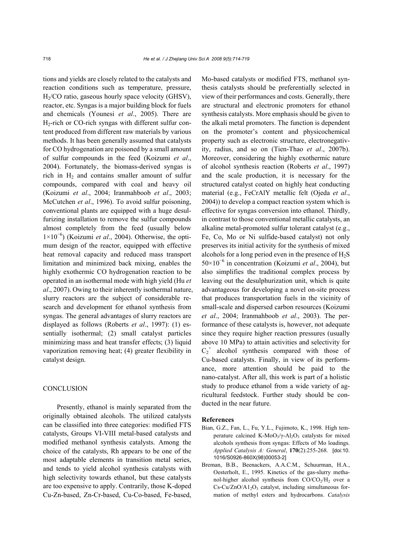tions and yields are closely related to the catalysts and reaction conditions such as temperature, pressure, H2/CO ratio, gaseous hourly space velocity (GHSV), reactor, etc. Syngas is a major building block for fuels and chemicals (Younesi *et al*., 2005). There are H2-rich or CO-rich syngas with different sulfur content produced from different raw materials by various methods. It has been generally assumed that catalysts for CO hydrogenation are poisoned by a small amount of sulfur compounds in the feed (Koizumi *et al*., 2004). Fortunately, the biomass-derived syngas is rich in  $H_2$  and contains smaller amount of sulfur compounds, compared with coal and heavy oil (Koizumi *et al*., 2004; Iranmahboob *et al*., 2003; McCutchen *et al*., 1996). To avoid sulfur poisoning, conventional plants are equipped with a huge desulfurizing installation to remove the sulfur compounds almost completely from the feed (usually below 1×10<sup>−</sup><sup>6</sup> ) (Koizumi *et al*., 2004). Otherwise, the optimum design of the reactor, equipped with effective heat removal capacity and reduced mass transport limitation and minimized back mixing, enables the highly exothermic CO hydrogenation reaction to be operated in an isothermal mode with high yield (Hu *et al*., 2007). Owing to their inherently isothermal nature, slurry reactors are the subject of considerable research and development for ethanol synthesis from syngas. The general advantages of slurry reactors are displayed as follows (Roberts *et al*., 1997): (1) essentially isothermal; (2) small catalyst particles minimizing mass and heat transfer effects; (3) liquid vaporization removing heat; (4) greater flexibility in catalyst design.

## **CONCLUSION**

Presently, ethanol is mainly separated from the originally obtained alcohols. The utilized catalysts can be classified into three categories: modified FTS catalysts, Groups VI-VIII metal-based catalysts and modified methanol synthesis catalysts. Among the choice of the catalysts, Rh appears to be one of the most adaptable elements in transition metal series, and tends to yield alcohol synthesis catalysts with high selectivity towards ethanol, but these catalysts are too expensive to apply. Contrarily, those K-doped Cu-Zn-based, Zn-Cr-based, Cu-Co-based, Fe-based,

Mo-based catalysts or modified FTS, methanol synthesis catalysts should be preferentially selected in view of their performances and costs. Generally, there are structural and electronic promoters for ethanol synthesis catalysts. More emphasis should be given to the alkali metal promoters. The function is dependent on the promoter's content and physicochemical property such as electronic structure, electronegativity, radius, and so on (Tien-Thao *et al*., 2007b). Moreover, considering the highly exothermic nature of alcohol synthesis reaction (Roberts *et al*., 1997) and the scale production, it is necessary for the structured catalyst coated on highly heat conducting material (e.g., FeCrAlY metallic felt (Ojeda *et al*., 2004)) to develop a compact reaction system which is effective for syngas conversion into ethanol. Thirdly, in contrast to those conventional metallic catalysts, an alkaline metal-promoted sulfur tolerant catalyst (e.g., Fe, Co, Mo or Ni sulfide-based catalyst) not only preserves its initial activity for the synthesis of mixed alcohols for a long period even in the presence of  $H_2S$ 50×10<sup>−</sup><sup>6</sup> in concentration (Koizumi *et al*., 2004), but also simplifies the traditional complex process by leaving out the desulphurization unit, which is quite advantageous for developing a novel on-site process that produces transportation fuels in the vicinity of small-scale and dispersed carbon resources (Koizumi *et al*., 2004; Iranmahboob *et al*., 2003). The performance of these catalysts is, however, not adequate since they require higher reaction pressures (usually above 10 MPa) to attain activities and selectivity for  $C_2^+$  alcohol synthesis compared with those of Cu-based catalysts. Finally, in view of its performance, more attention should be paid to the nano-catalyst. After all, this work is part of a holistic study to produce ethanol from a wide variety of agricultural feedstock. Further study should be conducted in the near future.

#### **References**

- Bian, G.Z., Fan, L., Fu, Y.L., Fujimoto, K., 1998. High temperature calcined K-MoO<sub>3</sub>/γ-Al<sub>2</sub>O<sub>3</sub> catalysts for mixed alcohols synthesis from syngas: Effects of Mo loadings. *Applied Catalysis A: General*, **170**(2):255-268. [doi:10. 1016/S0926-860X(98)00053-2]
- Breman, B.B., Beenackers, A.A.C.M., Schuurman, H.A., Oesterholt, E., 1995. Kinetics of the gas-slurry methanol-higher alcohol synthesis from  $CO/CO<sub>2</sub>/H<sub>2</sub>$  over a  $Cs-Cu/ZnO/A1<sub>2</sub>O<sub>3</sub>$  catalyst, including simultaneous formation of methyl esters and hydrocarbons. *Catalysis*